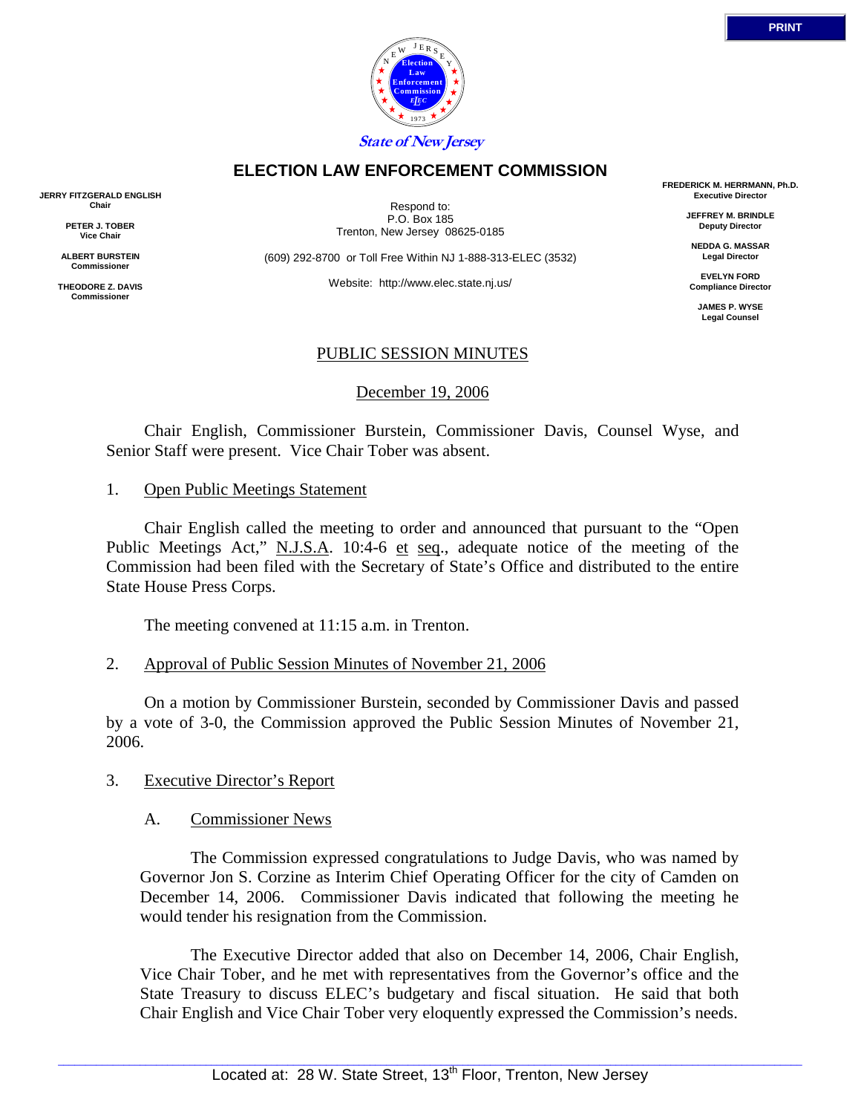

### **ELECTION LAW ENFORCEMENT COMMISSION**

**JERRY FITZGERALD ENGLISH Chair** 

> **PETER J. TOBER Vice Chair**

**ALBERT BURSTEIN Commissioner** 

**THEODORE Z. DAVIS Commissione** 

Respond to: P.O. Box 185 Trenton, New Jersey 08625-0185

(609) 292-8700 or Toll Free Within NJ 1-888-313-ELEC (3532)

Website: http://www.elec.state.nj.us/

**FREDERICK M. HERRMANN, Ph.D. Executive Director** 

> **JEFFREY M. BRINDLE Deputy Director**

**NEDDA G. MASSAR Legal Director** 

**EVELYN FORD Compliance Director** 

> **JAMES P. WYSE Legal Counsel**

## PUBLIC SESSION MINUTES

December 19, 2006

 Chair English, Commissioner Burstein, Commissioner Davis, Counsel Wyse, and Senior Staff were present. Vice Chair Tober was absent.

#### 1. Open Public Meetings Statement

 Chair English called the meeting to order and announced that pursuant to the "Open Public Meetings Act," N.J.S.A. 10:4-6 et seq., adequate notice of the meeting of the Commission had been filed with the Secretary of State's Office and distributed to the entire State House Press Corps.

The meeting convened at 11:15 a.m. in Trenton.

### 2. Approval of Public Session Minutes of November 21, 2006

 On a motion by Commissioner Burstein, seconded by Commissioner Davis and passed by a vote of 3-0, the Commission approved the Public Session Minutes of November 21, 2006.

### 3. Executive Director's Report

### A. Commissioner News

 The Commission expressed congratulations to Judge Davis, who was named by Governor Jon S. Corzine as Interim Chief Operating Officer for the city of Camden on December 14, 2006. Commissioner Davis indicated that following the meeting he would tender his resignation from the Commission.

 The Executive Director added that also on December 14, 2006, Chair English, Vice Chair Tober, and he met with representatives from the Governor's office and the State Treasury to discuss ELEC's budgetary and fiscal situation. He said that both Chair English and Vice Chair Tober very eloquently expressed the Commission's needs.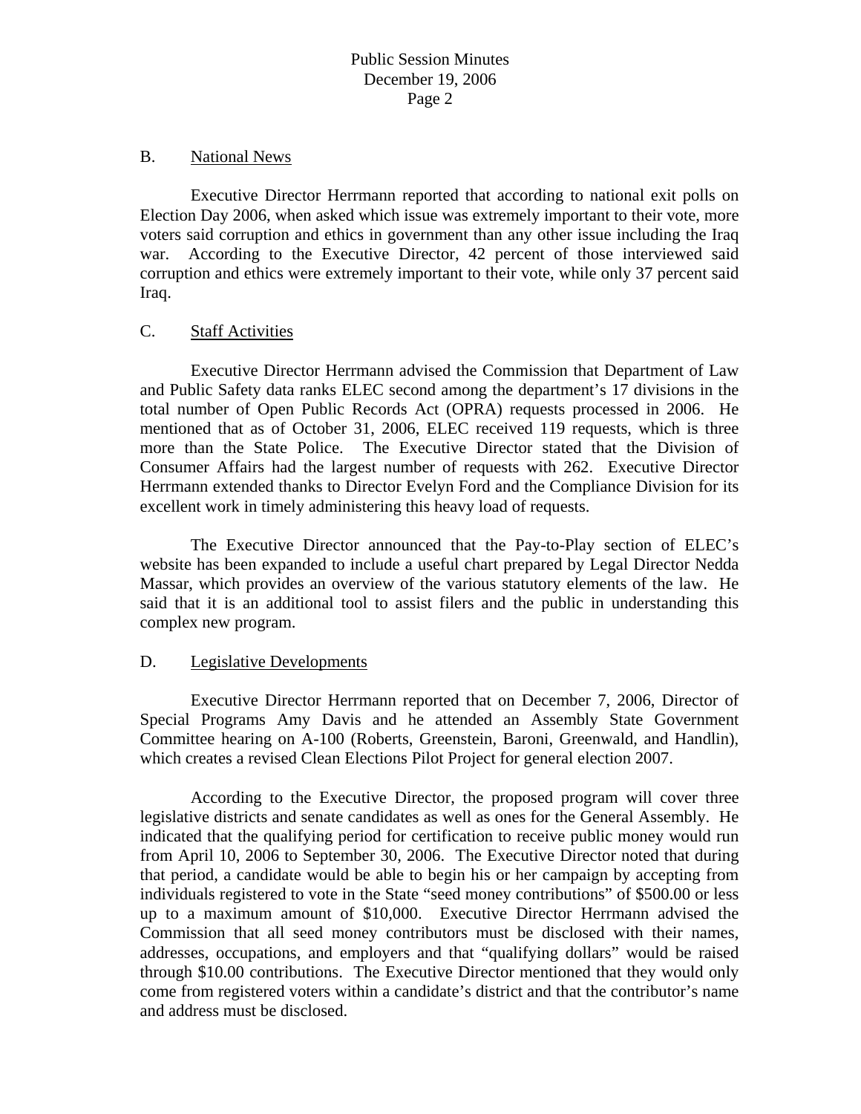#### B. National News

 Executive Director Herrmann reported that according to national exit polls on Election Day 2006, when asked which issue was extremely important to their vote, more voters said corruption and ethics in government than any other issue including the Iraq war. According to the Executive Director, 42 percent of those interviewed said corruption and ethics were extremely important to their vote, while only 37 percent said Iraq.

### C. Staff Activities

 Executive Director Herrmann advised the Commission that Department of Law and Public Safety data ranks ELEC second among the department's 17 divisions in the total number of Open Public Records Act (OPRA) requests processed in 2006. He mentioned that as of October 31, 2006, ELEC received 119 requests, which is three more than the State Police. The Executive Director stated that the Division of Consumer Affairs had the largest number of requests with 262. Executive Director Herrmann extended thanks to Director Evelyn Ford and the Compliance Division for its excellent work in timely administering this heavy load of requests.

 The Executive Director announced that the Pay-to-Play section of ELEC's website has been expanded to include a useful chart prepared by Legal Director Nedda Massar, which provides an overview of the various statutory elements of the law. He said that it is an additional tool to assist filers and the public in understanding this complex new program.

### D. Legislative Developments

 Executive Director Herrmann reported that on December 7, 2006, Director of Special Programs Amy Davis and he attended an Assembly State Government Committee hearing on A-100 (Roberts, Greenstein, Baroni, Greenwald, and Handlin), which creates a revised Clean Elections Pilot Project for general election 2007.

 According to the Executive Director, the proposed program will cover three legislative districts and senate candidates as well as ones for the General Assembly. He indicated that the qualifying period for certification to receive public money would run from April 10, 2006 to September 30, 2006. The Executive Director noted that during that period, a candidate would be able to begin his or her campaign by accepting from individuals registered to vote in the State "seed money contributions" of \$500.00 or less up to a maximum amount of \$10,000. Executive Director Herrmann advised the Commission that all seed money contributors must be disclosed with their names, addresses, occupations, and employers and that "qualifying dollars" would be raised through \$10.00 contributions. The Executive Director mentioned that they would only come from registered voters within a candidate's district and that the contributor's name and address must be disclosed.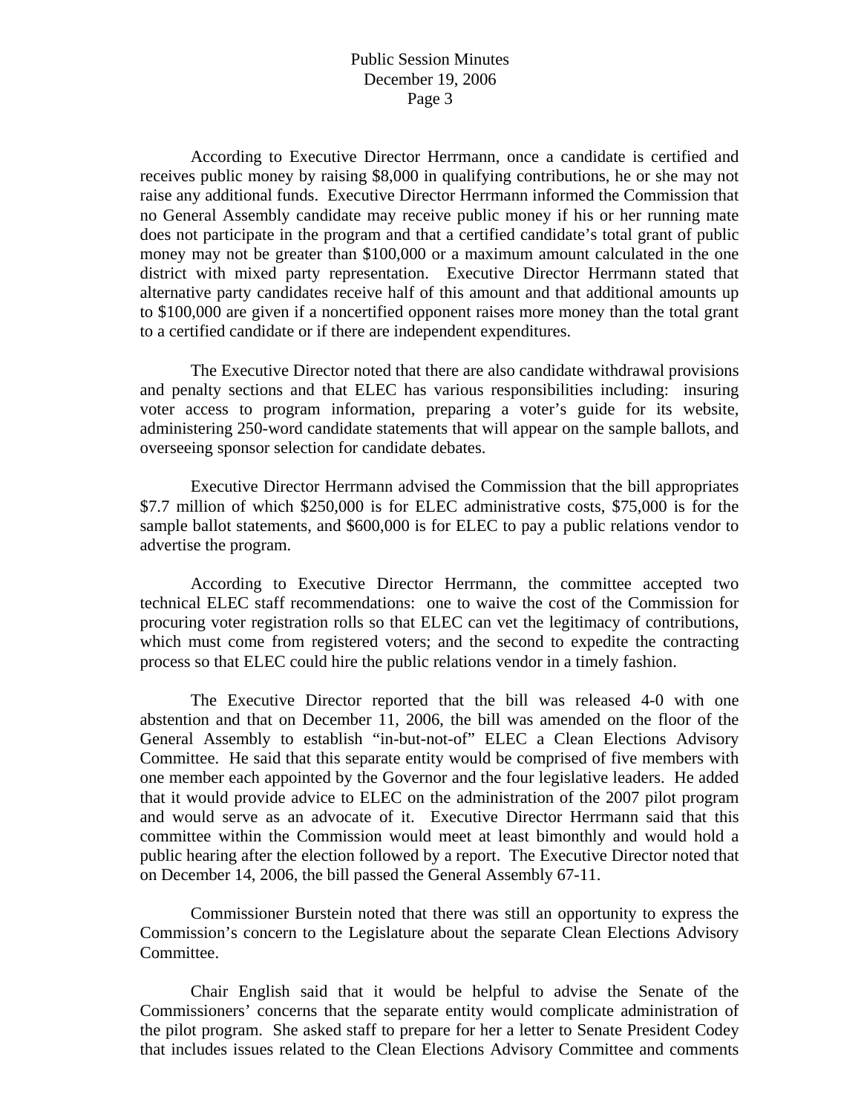### Public Session Minutes December 19, 2006 Page 3

 According to Executive Director Herrmann, once a candidate is certified and receives public money by raising \$8,000 in qualifying contributions, he or she may not raise any additional funds. Executive Director Herrmann informed the Commission that no General Assembly candidate may receive public money if his or her running mate does not participate in the program and that a certified candidate's total grant of public money may not be greater than \$100,000 or a maximum amount calculated in the one district with mixed party representation. Executive Director Herrmann stated that alternative party candidates receive half of this amount and that additional amounts up to \$100,000 are given if a noncertified opponent raises more money than the total grant to a certified candidate or if there are independent expenditures.

 The Executive Director noted that there are also candidate withdrawal provisions and penalty sections and that ELEC has various responsibilities including: insuring voter access to program information, preparing a voter's guide for its website, administering 250-word candidate statements that will appear on the sample ballots, and overseeing sponsor selection for candidate debates.

 Executive Director Herrmann advised the Commission that the bill appropriates \$7.7 million of which \$250,000 is for ELEC administrative costs, \$75,000 is for the sample ballot statements, and \$600,000 is for ELEC to pay a public relations vendor to advertise the program.

 According to Executive Director Herrmann, the committee accepted two technical ELEC staff recommendations: one to waive the cost of the Commission for procuring voter registration rolls so that ELEC can vet the legitimacy of contributions, which must come from registered voters; and the second to expedite the contracting process so that ELEC could hire the public relations vendor in a timely fashion.

 The Executive Director reported that the bill was released 4-0 with one abstention and that on December 11, 2006, the bill was amended on the floor of the General Assembly to establish "in-but-not-of" ELEC a Clean Elections Advisory Committee. He said that this separate entity would be comprised of five members with one member each appointed by the Governor and the four legislative leaders. He added that it would provide advice to ELEC on the administration of the 2007 pilot program and would serve as an advocate of it. Executive Director Herrmann said that this committee within the Commission would meet at least bimonthly and would hold a public hearing after the election followed by a report. The Executive Director noted that on December 14, 2006, the bill passed the General Assembly 67-11.

 Commissioner Burstein noted that there was still an opportunity to express the Commission's concern to the Legislature about the separate Clean Elections Advisory Committee.

 Chair English said that it would be helpful to advise the Senate of the Commissioners' concerns that the separate entity would complicate administration of the pilot program. She asked staff to prepare for her a letter to Senate President Codey that includes issues related to the Clean Elections Advisory Committee and comments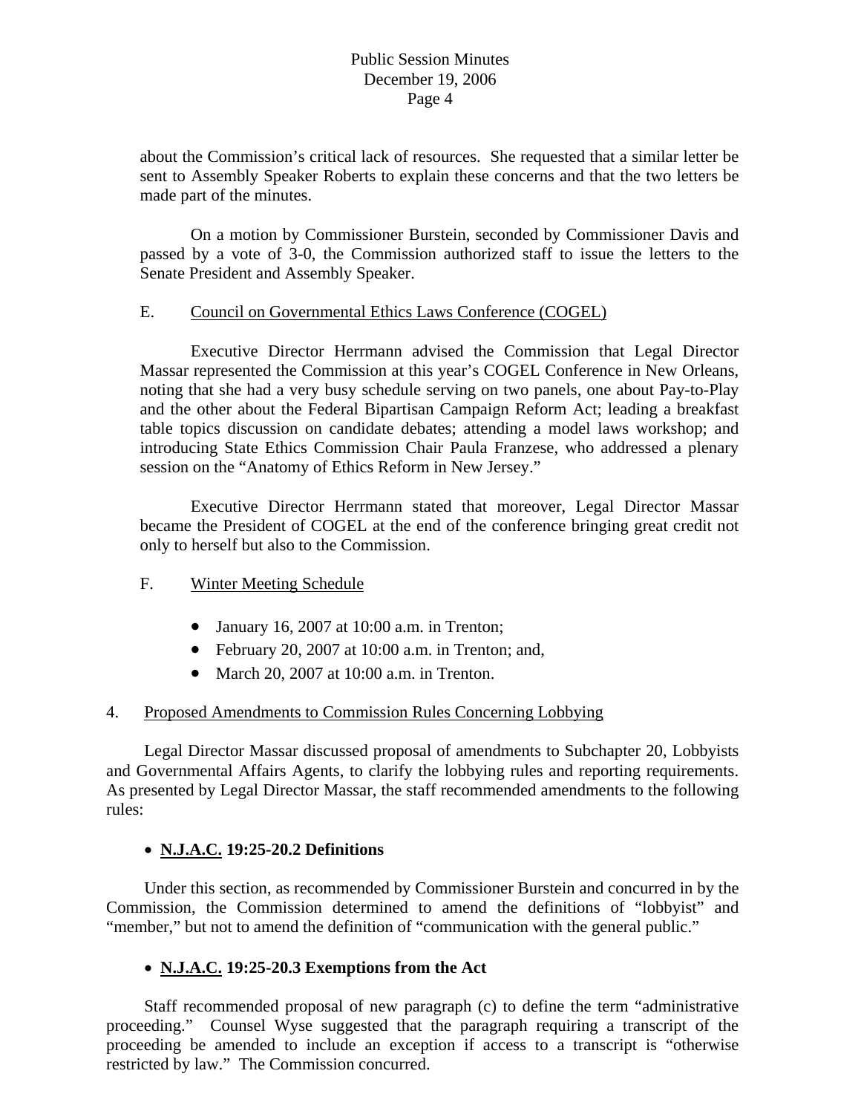## Public Session Minutes December 19, 2006 Page 4

about the Commission's critical lack of resources. She requested that a similar letter be sent to Assembly Speaker Roberts to explain these concerns and that the two letters be made part of the minutes.

 On a motion by Commissioner Burstein, seconded by Commissioner Davis and passed by a vote of 3-0, the Commission authorized staff to issue the letters to the Senate President and Assembly Speaker.

## E. Council on Governmental Ethics Laws Conference (COGEL)

 Executive Director Herrmann advised the Commission that Legal Director Massar represented the Commission at this year's COGEL Conference in New Orleans, noting that she had a very busy schedule serving on two panels, one about Pay-to-Play and the other about the Federal Bipartisan Campaign Reform Act; leading a breakfast table topics discussion on candidate debates; attending a model laws workshop; and introducing State Ethics Commission Chair Paula Franzese, who addressed a plenary session on the "Anatomy of Ethics Reform in New Jersey."

 Executive Director Herrmann stated that moreover, Legal Director Massar became the President of COGEL at the end of the conference bringing great credit not only to herself but also to the Commission.

### F. Winter Meeting Schedule

- January 16, 2007 at 10:00 a.m. in Trenton;
- February 20, 2007 at 10:00 a.m. in Trenton; and,
- March 20, 2007 at 10:00 a.m. in Trenton.

# 4. Proposed Amendments to Commission Rules Concerning Lobbying

 Legal Director Massar discussed proposal of amendments to Subchapter 20, Lobbyists and Governmental Affairs Agents, to clarify the lobbying rules and reporting requirements. As presented by Legal Director Massar, the staff recommended amendments to the following rules:

# • **N.J.A.C. 19:25-20.2 Definitions**

 Under this section, as recommended by Commissioner Burstein and concurred in by the Commission, the Commission determined to amend the definitions of "lobbyist" and "member," but not to amend the definition of "communication with the general public."

# • **N.J.A.C. 19:25-20.3 Exemptions from the Act**

 Staff recommended proposal of new paragraph (c) to define the term "administrative proceeding." Counsel Wyse suggested that the paragraph requiring a transcript of the proceeding be amended to include an exception if access to a transcript is "otherwise restricted by law." The Commission concurred.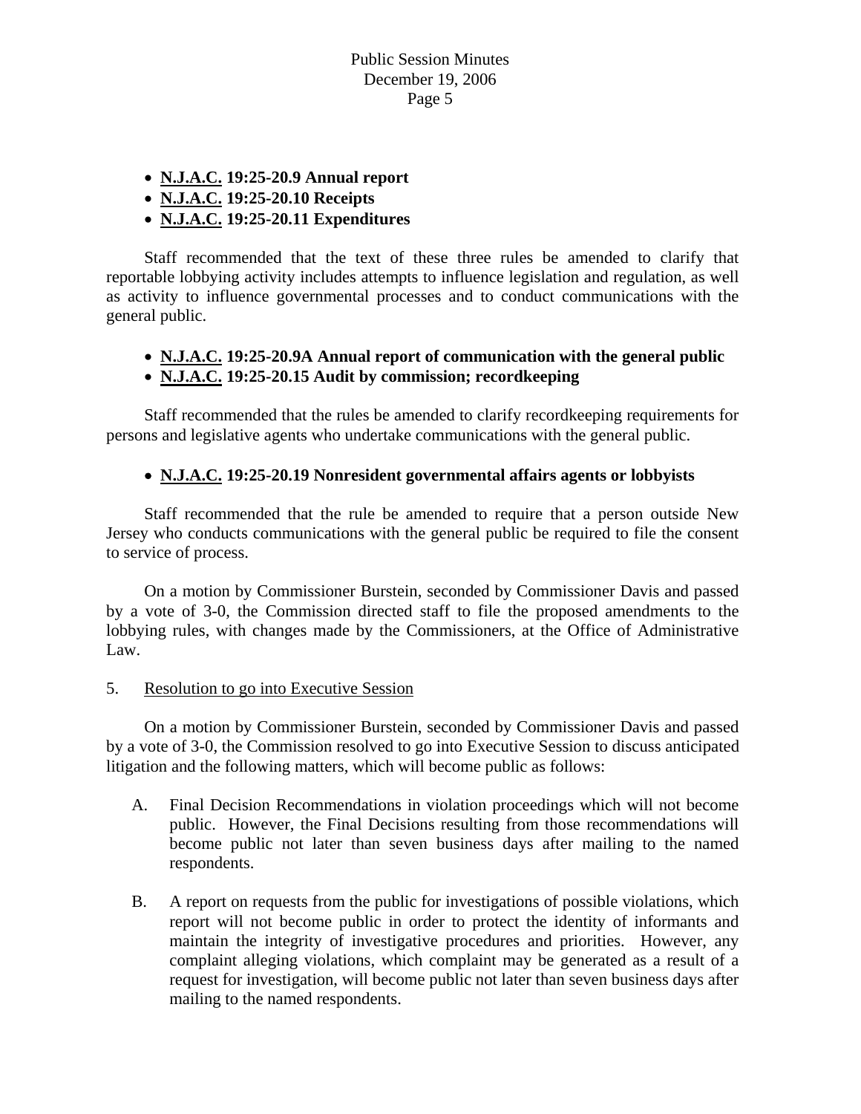- **N.J.A.C. 19:25-20.9 Annual report**
- **N.J.A.C. 19:25-20.10 Receipts**
- **N.J.A.C. 19:25-20.11 Expenditures**

 Staff recommended that the text of these three rules be amended to clarify that reportable lobbying activity includes attempts to influence legislation and regulation, as well as activity to influence governmental processes and to conduct communications with the general public.

- **N.J.A.C. 19:25-20.9A Annual report of communication with the general public**
- **N.J.A.C. 19:25-20.15 Audit by commission; recordkeeping**

Staff recommended that the rules be amended to clarify recordkeeping requirements for persons and legislative agents who undertake communications with the general public.

# • **N.J.A.C. 19:25-20.19 Nonresident governmental affairs agents or lobbyists**

 Staff recommended that the rule be amended to require that a person outside New Jersey who conducts communications with the general public be required to file the consent to service of process.

 On a motion by Commissioner Burstein, seconded by Commissioner Davis and passed by a vote of 3-0, the Commission directed staff to file the proposed amendments to the lobbying rules, with changes made by the Commissioners, at the Office of Administrative Law.

5. Resolution to go into Executive Session

 On a motion by Commissioner Burstein, seconded by Commissioner Davis and passed by a vote of 3-0, the Commission resolved to go into Executive Session to discuss anticipated litigation and the following matters, which will become public as follows:

- A. Final Decision Recommendations in violation proceedings which will not become public. However, the Final Decisions resulting from those recommendations will become public not later than seven business days after mailing to the named respondents.
- B. A report on requests from the public for investigations of possible violations, which report will not become public in order to protect the identity of informants and maintain the integrity of investigative procedures and priorities. However, any complaint alleging violations, which complaint may be generated as a result of a request for investigation, will become public not later than seven business days after mailing to the named respondents.